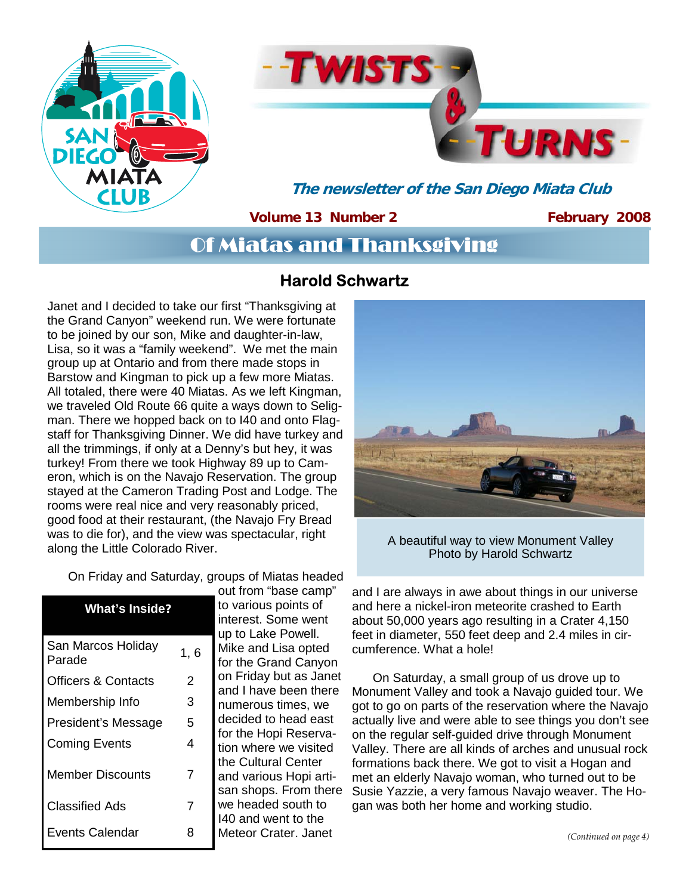



**The newsletter of the San Diego Miata Club** 

**Volume 13 Number 2** 

**February 2008** 

# Of Miatas and Thanksgiving

### **Harold Schwartz**

Janet and I decided to take our first "Thanksgiving at the Grand Canyon" weekend run. We were fortunate to be joined by our son, Mike and daughter-in-law, Lisa, so it was a "family weekend". We met the main group up at Ontario and from there made stops in Barstow and Kingman to pick up a few more Miatas. All totaled, there were 40 Miatas. As we left Kingman, we traveled Old Route 66 quite a ways down to Seligman. There we hopped back on to I40 and onto Flagstaff for Thanksgiving Dinner. We did have turkey and all the trimmings, if only at a Denny's but hey, it was turkey! From there we took Highway 89 up to Cameron, which is on the Navajo Reservation. The group stayed at the Cameron Trading Post and Lodge. The rooms were real nice and very reasonably priced, good food at their restaurant, (the Navajo Fry Bread was to die for), and the view was spectacular, right along the Little Colorado River.

On Friday and Saturday, groups of Miatas headed

| <b>What's Inside?</b>          |     |
|--------------------------------|-----|
| San Marcos Holiday<br>Parade   | 1,6 |
| <b>Officers &amp; Contacts</b> | 2   |
| Membership Info                | 3   |
| President's Message            | 5   |
| <b>Coming Events</b>           | 4   |
| <b>Member Discounts</b>        | 7   |
| Classified Ads                 | 7   |
| <b>Events Calendar</b>         | R   |

out from "base camp" to various points of interest. Some went up to Lake Powell. Mike and Lisa opted for the Grand Canyon on Friday but as Janet and I have been there numerous times, we decided to head east for the Hopi Reservation where we visited the Cultural Center and various Hopi artisan shops. From there we headed south to I40 and went to the Meteor Crater. Janet



A beautiful way to view Monument Valley Photo by Harold Schwartz

and I are always in awe about things in our universe and here a nickel-iron meteorite crashed to Earth about 50,000 years ago resulting in a Crater 4,150 feet in diameter, 550 feet deep and 2.4 miles in circumference. What a hole!

 On Saturday, a small group of us drove up to Monument Valley and took a Navajo guided tour. We got to go on parts of the reservation where the Navajo actually live and were able to see things you don't see on the regular self-guided drive through Monument Valley. There are all kinds of arches and unusual rock formations back there. We got to visit a Hogan and met an elderly Navajo woman, who turned out to be Susie Yazzie, a very famous Navajo weaver. The Hogan was both her home and working studio.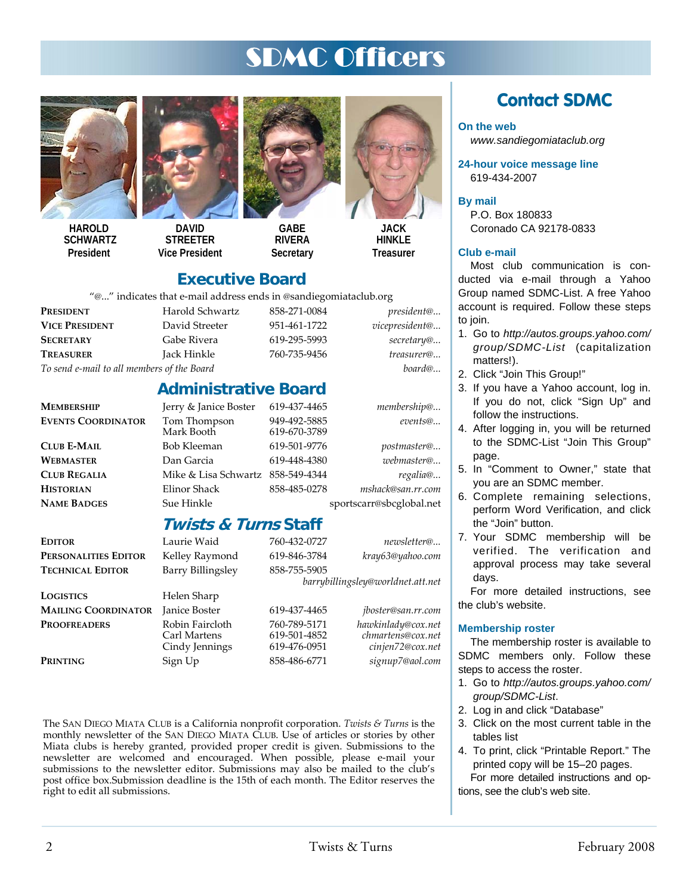# SDMC Officers



**HAROLD SCHWARTZ President** 



**STREETER Vice President** 



**GABE RIVERA Secretary** 

619-670-3789



**HINKI F Treasurer** 

### **Executive Board**

"@..." indicates that e-mail address ends in @sandiegomiataclub.org

**Administrative Board** 

| $\sim$ Indicates that communicies ends in communication. |                 |              |                    |
|----------------------------------------------------------|-----------------|--------------|--------------------|
| PRESIDENT                                                | Harold Schwartz | 858-271-0084 | <i>president</i> @ |
| <b>VICE PRESIDENT</b>                                    | David Streeter  | 951-461-1722 | vicepresident@     |
| <b>SECRETARY</b>                                         | Gabe Rivera     | 619-295-5993 | secretary@         |
| <b>TREASURER</b>                                         | Jack Hinkle     | 760-735-9456 | treasurer@         |
|                                                          |                 |              |                    |

# *To send e-mail to all members of the Board board@...*

**MEMBERSHIP** Jerry & Janice Boster 619-437-4465 *membership@...* **EVENTS COORDINATOR** Tom Thompson 949-492-5885 *events@...*

**CLUB E-MAIL** Bob Kleeman 619-501-9776 *postmaster@...* **WEBMASTER** Dan Garcia 619-448-4380 *webmaster@...*  **CLUB REGALIA** Mike & Lisa Schwartz 858-549-4344 *regalia@...* **HISTORIAN** Elinor Shack 858-485-0278 *mshack@san.rr.com*

**NAME BADGES** Sue Hinkle sportscarr@sbcglobal.net

### **Twists & Turns Staff**

| Editor                     | Laurie Waid                                       | 760-432-0727                                 | newsletter@                                                 |
|----------------------------|---------------------------------------------------|----------------------------------------------|-------------------------------------------------------------|
| PERSONALITIES EDITOR       | Kelley Raymond                                    | 619-846-3784                                 | kray63@yahoo.com                                            |
| <b>TECHNICAL EDITOR</b>    | Barry Billingsley                                 | 858-755-5905                                 |                                                             |
|                            |                                                   |                                              | barrybillingsley@worldnet.att.net                           |
| LOGISTICS                  | Helen Sharp                                       |                                              |                                                             |
| <b>MAILING COORDINATOR</b> | Janice Boster                                     | 619-437-4465                                 | <i>jboster@san.rr.com</i>                                   |
| <b>PROOFREADERS</b>        | Robin Faircloth<br>Carl Martens<br>Cindy Jennings | 760-789-5171<br>619-501-4852<br>619-476-0951 | hawkinlady@cox.net<br>chmartens@cox.net<br>cinjen72@cox.net |
| Printing                   | Sign Up                                           | 858-486-6771                                 | signup7@aol.com                                             |

The SAN DIEGO MIATA CLUB is a California nonprofit corporation. *Twists & Turns* is the monthly newsletter of the SAN DIEGO MIATA CLUB. Use of articles or stories by other Miata clubs is hereby granted, provided proper credit is given. Submissions to the newsletter are welcomed and encouraged. When possible, please e-mail your submissions to the newsletter editor. Submissions may also be mailed to the club's post office box.Submission deadline is the 15th of each month. The Editor reserves the right to edit all submissions.

## **Contact SDMC**

#### **On the web**

*www.sandiegomiataclub.org* 

**24-hour voice message line**  619-434-2007

### **By mail**

P.O. Box 180833 Coronado CA 92178-0833

#### **Club e-mail**

Most club communication is conducted via e-mail through a Yahoo Group named SDMC-List. A free Yahoo account is required. Follow these steps to join.

- 1. Go to *http://autos.groups.yahoo.com/ group/SDMC-List* (capitalization matters!).
- 2. Click "Join This Group!"
- 3. If you have a Yahoo account, log in. If you do not, click "Sign Up" and follow the instructions.
- 4. After logging in, you will be returned to the SDMC-List "Join This Group" page.
- 5. In "Comment to Owner," state that you are an SDMC member.
- 6. Complete remaining selections, perform Word Verification, and click the "Join" button.
- 7. Your SDMC membership will be verified. The verification and approval process may take several days.

For more detailed instructions, see the club's website.

#### **Membership roster**

The membership roster is available to SDMC members only. Follow these steps to access the roster.

- 1. Go to *http://autos.groups.yahoo.com/ group/SDMC-List*.
- 2. Log in and click "Database"
- 3. Click on the most current table in the tables list
- 4. To print, click "Printable Report." The printed copy will be 15–20 pages. For more detailed instructions and options, see the club's web site.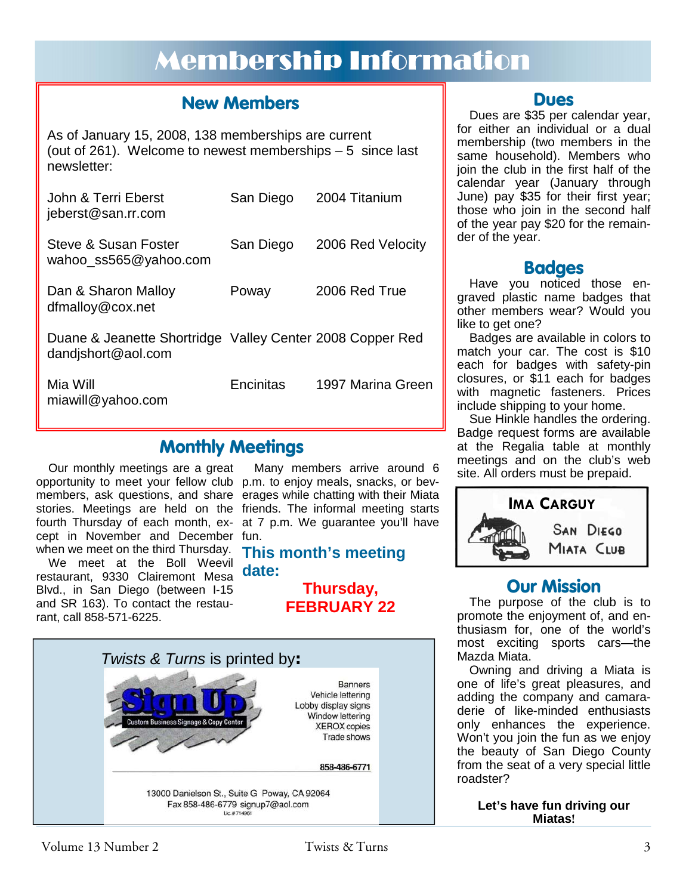# Membership Information

### **New Members**

As of January 15, 2008, 138 memberships are current (out of 261). Welcome to newest memberships – 5 since last newsletter:

| John & Terri Eberst<br>jeberst@san.rr.com                                       | San Diego | 2004 Titanium     |
|---------------------------------------------------------------------------------|-----------|-------------------|
| Steve & Susan Foster<br>wahoo_ss565@yahoo.com                                   | San Diego | 2006 Red Velocity |
| Dan & Sharon Malloy<br>dfmalloy@cox.net                                         | Poway     | 2006 Red True     |
| Duane & Jeanette Shortridge Valley Center 2008 Copper Red<br>dandishort@aol.com |           |                   |
| Mia Will<br>miawill@yahoo.com                                                   | Encinitas | 1997 Marina Green |

### **Monthly Meetings**

Our monthly meetings are a great opportunity to meet your fellow club p.m. to enjoy meals, snacks, or bevmembers, ask questions, and share erages while chatting with their Miata stories. Meetings are held on the friends. The informal meeting starts fourth Thursday of each month, ex-at 7 p.m. We guarantee you'll have cept in November and December fun.

We meet at the Boll Weevil restaurant, 9330 Clairemont Mesa **date:**  Blvd., in San Diego (between I-15 and SR 163). To contact the restaurant, call 858-571-6225.

Many members arrive around 6

# when we meet on the third Thursday. **This month's meeting**

**Thursday, FEBRUARY 22** 



### **Dues**

Dues are \$35 per calendar year, for either an individual or a dual membership (two members in the same household). Members who join the club in the first half of the calendar year (January through June) pay \$35 for their first year; those who join in the second half of the year pay \$20 for the remainder of the year.

### **Badges**

Have you noticed those engraved plastic name badges that other members wear? Would you like to get one?

Badges are available in colors to match your car. The cost is \$10 each for badges with safety-pin closures, or \$11 each for badges with magnetic fasteners. Prices include shipping to your home.

Sue Hinkle handles the ordering. Badge request forms are available at the Regalia table at monthly meetings and on the club's web site. All orders must be prepaid.



### **Our Mission**

The purpose of the club is to promote the enjoyment of, and enthusiasm for, one of the world's most exciting sports cars—the Mazda Miata.

Owning and driving a Miata is one of life's great pleasures, and adding the company and camaraderie of like-minded enthusiasts only enhances the experience. Won't you join the fun as we enjoy the beauty of San Diego County from the seat of a very special little roadster?

> **Let's have fun driving our Miatas!**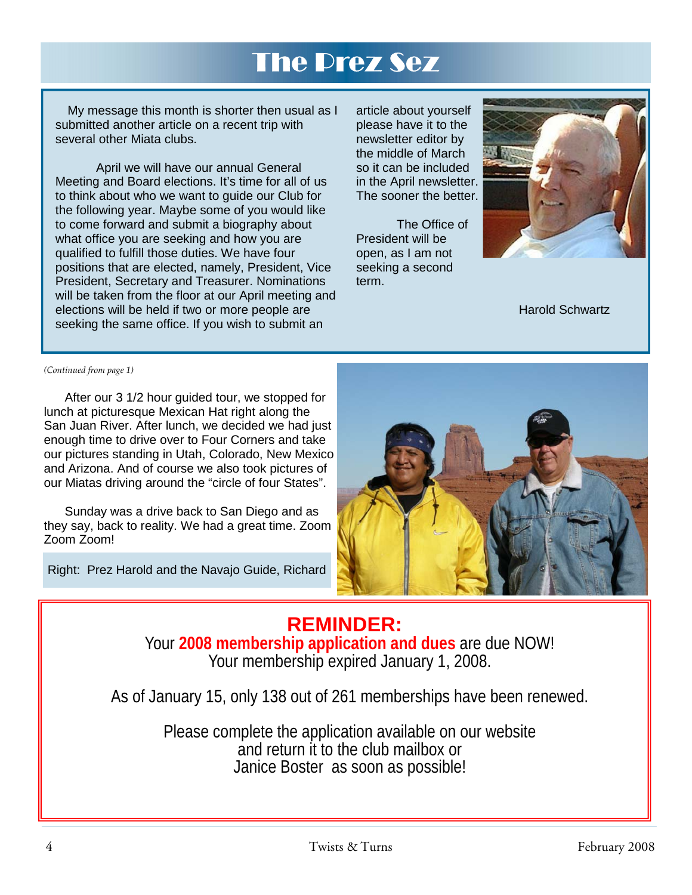# The Prez Sez

My message this month is shorter then usual as I submitted another article on a recent trip with several other Miata clubs.

 April we will have our annual General Meeting and Board elections. It's time for all of us to think about who we want to guide our Club for the following year. Maybe some of you would like to come forward and submit a biography about what office you are seeking and how you are qualified to fulfill those duties. We have four positions that are elected, namely, President, Vice President, Secretary and Treasurer. Nominations will be taken from the floor at our April meeting and elections will be held if two or more people are seeking the same office. If you wish to submit an

article about yourself please have it to the newsletter editor by the middle of March so it can be included in the April newsletter. The sooner the better.

 The Office of President will be open, as I am not seeking a second term.



Harold Schwartz

*(Continued from page 1)* 

 After our 3 1/2 hour guided tour, we stopped for lunch at picturesque Mexican Hat right along the San Juan River. After lunch, we decided we had just enough time to drive over to Four Corners and take our pictures standing in Utah, Colorado, New Mexico and Arizona. And of course we also took pictures of our Miatas driving around the "circle of four States".

 Sunday was a drive back to San Diego and as they say, back to reality. We had a great time. Zoom Zoom Zoom!

Right: Prez Harold and the Navajo Guide, Richard



### **REMINDER:**  Your **2008 membership application and dues** are due NOW! Your membership expired January 1, 2008.

As of January 15, only 138 out of 261 memberships have been renewed.

Please complete the application available on our website and return it to the club mailbox or Janice Boster as soon as possible!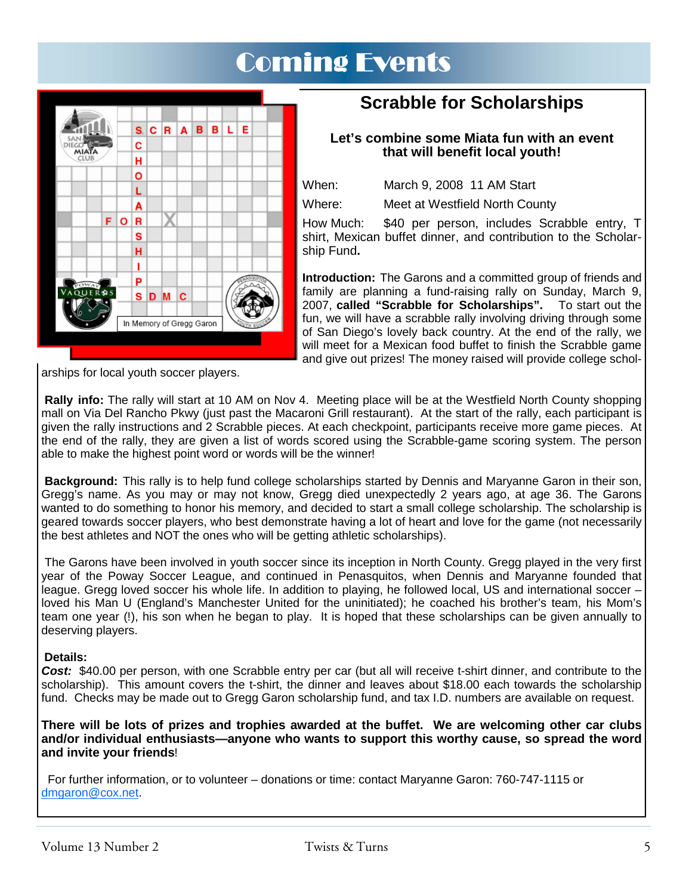# Coming Events



### **Scrabble for Scholarships**

### **Let's combine some Miata fun with an event that will benefit local youth!**

When: March 9, 2008 11 AM Start

Where: Meet at Westfield North County

How Much: \$40 per person, includes Scrabble entry, T shirt, Mexican buffet dinner, and contribution to the Scholarship Fund**.** 

**Introduction:** The Garons and a committed group of friends and family are planning a fund-raising rally on Sunday, March 9, 2007, **called "Scrabble for Scholarships".** To start out the fun, we will have a scrabble rally involving driving through some of San Diego's lovely back country. At the end of the rally, we will meet for a Mexican food buffet to finish the Scrabble game and give out prizes! The money raised will provide college schol-

arships for local youth soccer players.

**Rally info:** The rally will start at 10 AM on Nov 4. Meeting place will be at the Westfield North County shopping mall on Via Del Rancho Pkwy (just past the Macaroni Grill restaurant). At the start of the rally, each participant is given the rally instructions and 2 Scrabble pieces. At each checkpoint, participants receive more game pieces. At the end of the rally, they are given a list of words scored using the Scrabble-game scoring system. The person able to make the highest point word or words will be the winner!

**Background:** This rally is to help fund college scholarships started by Dennis and Maryanne Garon in their son, Gregg's name. As you may or may not know, Gregg died unexpectedly 2 years ago, at age 36. The Garons wanted to do something to honor his memory, and decided to start a small college scholarship. The scholarship is geared towards soccer players, who best demonstrate having a lot of heart and love for the game (not necessarily the best athletes and NOT the ones who will be getting athletic scholarships).

 The Garons have been involved in youth soccer since its inception in North County. Gregg played in the very first year of the Poway Soccer League, and continued in Penasquitos, when Dennis and Maryanne founded that league. Gregg loved soccer his whole life. In addition to playing, he followed local, US and international soccer – loved his Man U (England's Manchester United for the uninitiated); he coached his brother's team, his Mom's team one year (!), his son when he began to play. It is hoped that these scholarships can be given annually to deserving players.

### **Details:**

*Cost:* \$40.00 per person, with one Scrabble entry per car (but all will receive t-shirt dinner, and contribute to the scholarship). This amount covers the t-shirt, the dinner and leaves about \$18.00 each towards the scholarship fund. Checks may be made out to Gregg Garon scholarship fund, and tax I.D. numbers are available on request.

**There will be lots of prizes and trophies awarded at the buffet. We are welcoming other car clubs and/or individual enthusiasts—anyone who wants to support this worthy cause, so spread the word and invite your friends**!

 For further information, or to volunteer – donations or time: contact Maryanne Garon: 760-747-1115 or dmgaron@cox.net.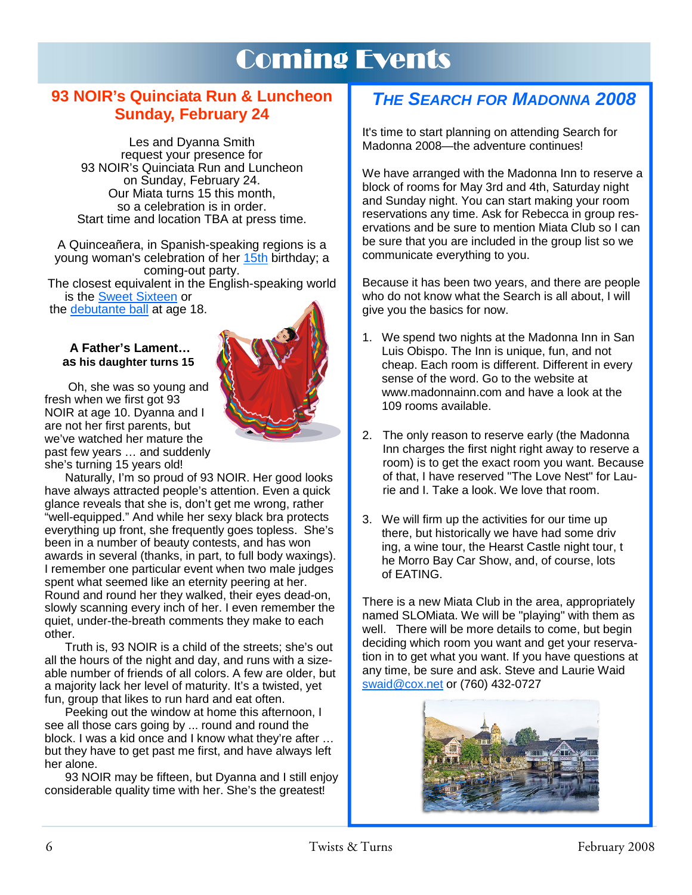# Coming Events

### **93 NOIR's Quinciata Run & Luncheon Sunday, February 24**

Les and Dyanna Smith request your presence for 93 NOIR's Quinciata Run and Luncheon on Sunday, February 24. Our Miata turns 15 this month, so a celebration is in order. Start time and location TBA at press time.

A Quinceañera, in Spanish-speaking regions is a young woman's celebration of her 15th birthday; a coming-out party. The closest equivalent in the English-speaking world

is the Sweet Sixteen or

the debutante ball at age 18.

#### **A Father's Lament… as his daughter turns 15**

Oh, she was so young and fresh when we first got 93 NOIR at age 10. Dyanna and I are not her first parents, but we've watched her mature the past few years … and suddenly she's turning 15 years old!

Naturally, I'm so proud of 93 NOIR. Her good looks have always attracted people's attention. Even a quick glance reveals that she is, don't get me wrong, rather "well-equipped." And while her sexy black bra protects everything up front, she frequently goes topless. She's been in a number of beauty contests, and has won awards in several (thanks, in part, to full body waxings). I remember one particular event when two male judges spent what seemed like an eternity peering at her. Round and round her they walked, their eyes dead-on, slowly scanning every inch of her. I even remember the quiet, under-the-breath comments they make to each other.

Truth is, 93 NOIR is a child of the streets; she's out all the hours of the night and day, and runs with a sizeable number of friends of all colors. A few are older, but a majority lack her level of maturity. It's a twisted, yet fun, group that likes to run hard and eat often.

Peeking out the window at home this afternoon, I see all those cars going by ... round and round the block. I was a kid once and I know what they're after … but they have to get past me first, and have always left her alone.

93 NOIR may be fifteen, but Dyanna and I still enjoy considerable quality time with her. She's the greatest!

### *THE SEARCH FOR MADONNA 2008*

It's time to start planning on attending Search for Madonna 2008—the adventure continues!

We have arranged with the Madonna Inn to reserve a block of rooms for May 3rd and 4th, Saturday night and Sunday night. You can start making your room reservations any time. Ask for Rebecca in group reservations and be sure to mention Miata Club so I can be sure that you are included in the group list so we communicate everything to you.

Because it has been two years, and there are people who do not know what the Search is all about, I will give you the basics for now.

- 1. We spend two nights at the Madonna Inn in San Luis Obispo. The Inn is unique, fun, and not cheap. Each room is different. Different in every sense of the word. Go to the website at www.madonnainn.com and have a look at the 109 rooms available.
- 2. The only reason to reserve early (the Madonna Inn charges the first night right away to reserve a room) is to get the exact room you want. Because of that, I have reserved "The Love Nest" for Laurie and I. Take a look. We love that room.
- 3. We will firm up the activities for our time up there, but historically we have had some driv ing, a wine tour, the Hearst Castle night tour, t he Morro Bay Car Show, and, of course, lots of EATING.

There is a new Miata Club in the area, appropriately named SLOMiata. We will be "playing" with them as well. There will be more details to come, but begin deciding which room you want and get your reservation in to get what you want. If you have questions at any time, be sure and ask. Steve and Laurie Waid swaid@cox.net or (760) 432-0727



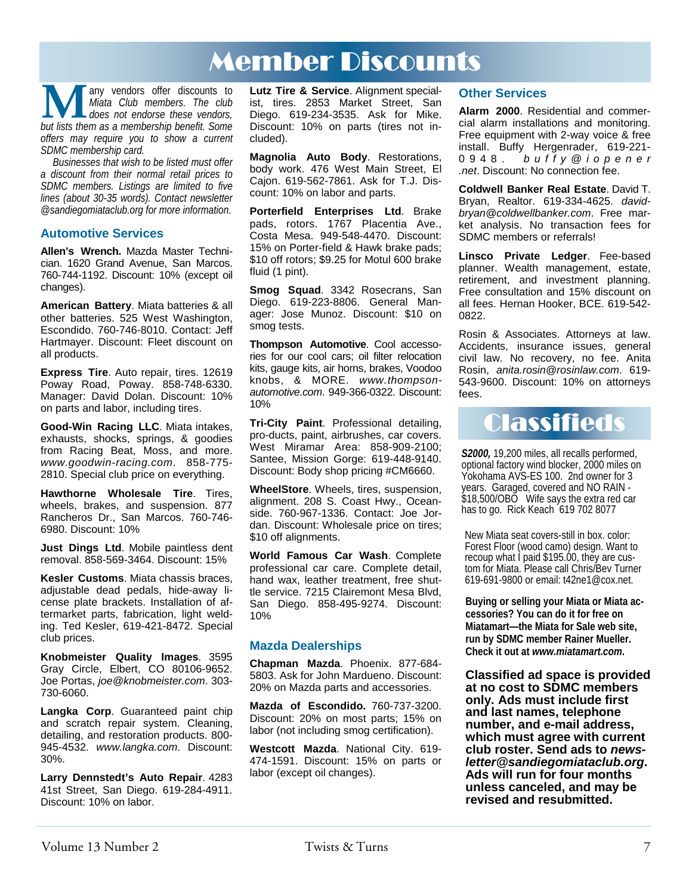# Member Discounts

**M** any vendors offer discounts to *Miata Club members. The club* does not endorse these vendors, but lists them as a membership benefit. Some *Miata Club members. The club does not endorse these vendors, offers may require you to show a current SDMC membership card.* 

*Businesses that wish to be listed must offer a discount from their normal retail prices to SDMC members. Listings are limited to five lines (about 30-35 words). Contact newsletter @sandiegomiataclub.org for more information*.

#### **Automotive Services**

**Allen's Wrench.** Mazda Master Technician. 1620 Grand Avenue, San Marcos. 760-744-1192. Discount: 10% (except oil changes).

**American Battery**. Miata batteries & all other batteries. 525 West Washington, Escondido. 760-746-8010. Contact: Jeff Hartmayer. Discount: Fleet discount on all products.

**Express Tire**. Auto repair, tires. 12619 Poway Road, Poway. 858-748-6330. Manager: David Dolan. Discount: 10% on parts and labor, including tires.

**Good-Win Racing LLC**. Miata intakes, exhausts, shocks, springs, & goodies from Racing Beat, Moss, and more. *www.goodwin-racing.com*. 858-775- 2810. Special club price on everything.

**Hawthorne Wholesale Tire**. Tires, wheels, brakes, and suspension. 877 Rancheros Dr., San Marcos. 760-746- 6980. Discount: 10%

**Just Dings Ltd**. Mobile paintless dent removal. 858-569-3464. Discount: 15%

**Kesler Customs**. Miata chassis braces, adjustable dead pedals, hide-away license plate brackets. Installation of aftermarket parts, fabrication, light welding. Ted Kesler, 619-421-8472. Special club prices.

**Knobmeister Quality Images**. 3595 Gray Circle, Elbert, CO 80106-9652. Joe Portas, *joe@knobmeister.com*. 303- 730-6060.

**Langka Corp**. Guaranteed paint chip and scratch repair system. Cleaning, detailing, and restoration products. 800- 945-4532. *www.langka.com*. Discount: 30%.

**Larry Dennstedt's Auto Repair**. 4283 41st Street, San Diego. 619-284-4911. Discount: 10% on labor.

**Lutz Tire & Service**. Alignment specialist, tires. 2853 Market Street, San Diego. 619-234-3535. Ask for Mike. Discount: 10% on parts (tires not included).

**Magnolia Auto Body**. Restorations, body work. 476 West Main Street, El Cajon. 619-562-7861. Ask for T.J. Discount: 10% on labor and parts.

**Porterfield Enterprises Ltd**. Brake pads, rotors. 1767 Placentia Ave., Costa Mesa. 949-548-4470. Discount: 15% on Porter-field & Hawk brake pads; \$10 off rotors; \$9.25 for Motul 600 brake fluid (1 pint).

**Smog Squad**. 3342 Rosecrans, San Diego. 619-223-8806. General Manager: Jose Munoz. Discount: \$10 on smog tests.

**Thompson Automotive**. Cool accessories for our cool cars; oil filter relocation kits, gauge kits, air horns, brakes, Voodoo knobs, & MORE. *www.thompsonautomotive.com*. 949-366-0322. Discount: 10%

**Tri-City Paint**. Professional detailing, pro-ducts, paint, airbrushes, car covers. West Miramar Area: 858-909-2100; Santee, Mission Gorge: 619-448-9140. Discount: Body shop pricing #CM6660.

**WheelStore**. Wheels, tires, suspension, alignment. 208 S. Coast Hwy., Oceanside. 760-967-1336. Contact: Joe Jordan. Discount: Wholesale price on tires; \$10 off alignments.

**World Famous Car Wash**. Complete professional car care. Complete detail, hand wax, leather treatment, free shuttle service. 7215 Clairemont Mesa Blvd, San Diego. 858-495-9274. Discount: 10%

#### **Mazda Dealerships**

**Chapman Mazda**. Phoenix. 877-684- 5803. Ask for John Mardueno. Discount: 20% on Mazda parts and accessories.

**Mazda of Escondido.** 760-737-3200. Discount: 20% on most parts; 15% on labor (not including smog certification).

**Westcott Mazda**. National City. 619- 474-1591. Discount: 15% on parts or labor (except oil changes).

#### **Other Services**

**Alarm 2000**. Residential and commercial alarm installations and monitoring. Free equipment with 2-way voice & free install. Buffy Hergenrader, 619-221- 0948. *b u f f y @ i o p e n e r .net*. Discount: No connection fee.

**Coldwell Banker Real Estate**. David T. Bryan, Realtor. 619-334-4625. *davidbryan@coldwellbanker.com*. Free market analysis. No transaction fees for SDMC members or referrals!

**Linsco Private Ledger**. Fee-based planner. Wealth management, estate, retirement, and investment planning. Free consultation and 15% discount on all fees. Hernan Hooker, BCE. 619-542- 0822.

Rosin & Associates. Attorneys at law. Accidents, insurance issues, general civil law. No recovery, no fee. Anita Rosin, *anita.rosin@rosinlaw.com*. 619- 543-9600. Discount: 10% on attorneys fees.

# **Classifieds**

*S2000,* 19,200 miles, all recalls performed, optional factory wind blocker, 2000 miles on Yokohama AVS-ES 100. 2nd owner for 3 years. Garaged, covered and NO RAIN - \$18,500/OBO Wife says the extra red car has to go. Rick Keach 619 702 8077

New Miata seat covers-still in box. color: Forest Floor (wood camo) design. Want to recoup what I paid \$195.00, they are custom for Miata. Please call Chris/Bev Turner 619-691-9800 or email: t42ne1@cox.net.

**Buying or selling your Miata or Miata accessories? You can do it for free on Miatamart—the Miata for Sale web site, run by SDMC member Rainer Mueller. Check it out at** *www.miatamart.com***.** 

**Classified ad space is provided at no cost to SDMC members only. Ads must include first and last names, telephone number, and e-mail address, which must agree with current club roster. Send ads to** *newsletter@sandiegomiataclub.org***. Ads will run for four months unless canceled, and may be revised and resubmitted.**